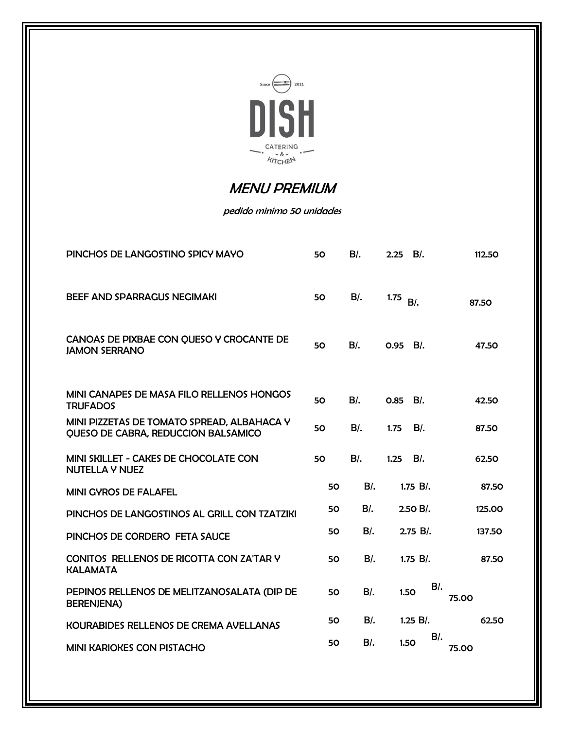

## MENU PREMIUM

## pedido minimo 50 unidades

| PINCHOS DE LANGOSTINO SPICY MAYO                                                         | 50 | $B$ .  | $2.25$ B/.    | 112.50 |
|------------------------------------------------------------------------------------------|----|--------|---------------|--------|
| <b>BEEF AND SPARRAGUS NEGIMAKI</b>                                                       | 50 | $B$ .  | 1.75<br>$B$ . | 87.50  |
| CANOAS DE PIXBAE CON QUESO Y CROCANTE DE<br><b>JAMON SERRANO</b>                         | 50 | $B$ .  | 0.95 B/.      | 47.50  |
| MINI CANAPES DE MASA FILO RELLENOS HONGOS<br><b>TRUFADOS</b>                             | 50 | $B$ .  | $B$ .<br>0.85 | 42.50  |
| MINI PIZZETAS DE TOMATO SPREAD, ALBAHACA Y<br><b>OUESO DE CABRA, REDUCCION BALSAMICO</b> | 50 | B/L    | 1.75<br>BI.   | 87.50  |
| MINI SKILLET - CAKES DE CHOCOLATE CON<br><b>NUTELLA Y NUEZ</b>                           | 50 | $B$ .  | 1.25<br>$B$ . | 62.50  |
| <b>MINI GYROS DE FALAFEL</b>                                                             | 50 | $B$ .  | $1.75 B$ .    | 87.50  |
| PINCHOS DE LANGOSTINOS AL GRILL CON TZATZIKI                                             | 50 | $B$ .  | $2.50 B/$ .   | 125.00 |
| PINCHOS DE CORDERO FETA SAUCE                                                            | 50 | $B$ .  | 2.75 B/.      | 137.50 |
| CONITOS RELLENOS DE RICOTTA CON ZA'TAR Y<br><b>KALAMATA</b>                              | 50 | $B$ .  | 1.75 B/.      | 87.50  |
| PEPINOS RELLENOS DE MELITZANOSALATA (DIP DE<br><b>BERENJENA)</b>                         | 50 | $B$ .  | $B$ .<br>1.50 | 75.00  |
| <b>KOURABIDES RELLENOS DE CREMA AVELLANAS</b>                                            | 50 | $B$ /. | $1.25 B$ .    | 62.50  |
| <b>MINI KARIOKES CON PISTACHO</b>                                                        | 50 | $B$ /. | $B$ .<br>1.50 | 75.00  |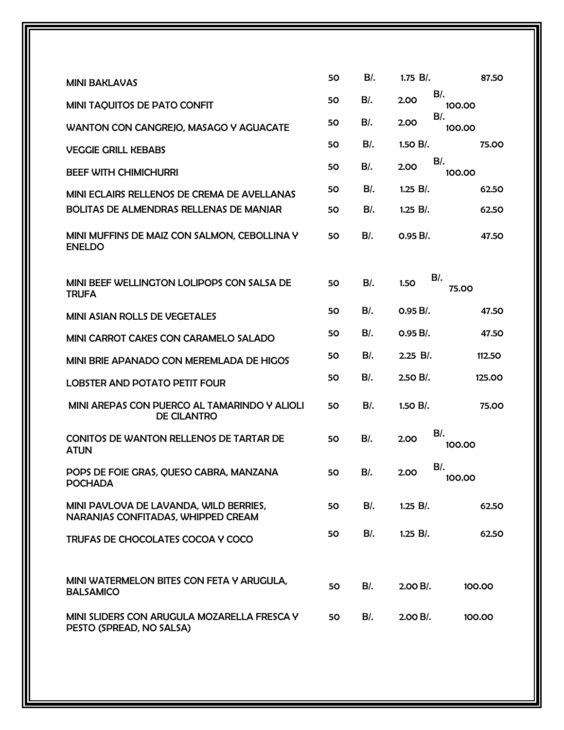|                                                                              | 50 | $B$ .  | $1.75 B$ .<br>87.50      |
|------------------------------------------------------------------------------|----|--------|--------------------------|
| <b>MINI BAKLAVAS</b>                                                         |    |        | $B$ .                    |
| <b>MINI TAQUITOS DE PATO CONFIT</b>                                          | 50 | $B$ .  | 2.00<br>100.00<br>$B$ /. |
| WANTON CON CANGREJO, MASAGO Y AGUACATE                                       | 50 | $B$ .  | 2.00<br>100.00           |
| <b>VEGGIE GRILL KEBABS</b>                                                   | 50 | $B$ .  | 1.50 B/.<br>75.00        |
| <b>BEEF WITH CHIMICHURRI</b>                                                 | 50 | $B$ .  | $B$ .<br>2.00<br>100.00  |
| MINI ECLAIRS RELLENOS DE CREMA DE AVELLANAS                                  | 50 | $B$ .  | $1.25 B$ .<br>62.50      |
| <b>BOLITAS DE ALMENDRAS RELLENAS DE MANJAR</b>                               | 50 | $B$ .  | $1.25 B$ .<br>62.50      |
| MINI MUFFINS DE MAIZ CON SALMON, CEBOLLINA Y<br><b>ENELDO</b>                | 50 | $B$ .  | $0.95 B/$ .<br>47.50     |
| MINI BEEF WELLINGTON LOLIPOPS CON SALSA DE<br><b>TRUFA</b>                   | 50 | $B$ .  | $B$ .<br>1.50<br>75.00   |
| MINI ASIAN ROLLS DE VEGETALES                                                | 50 | B/L    | $0.95 B/$ .<br>47.50     |
| MINI CARROT CAKES CON CARAMELO SALADO                                        | 50 | $B$ .  | $0.95 B/$ .<br>47.50     |
| MINI BRIE APANADO CON MEREMLADA DE HIGOS                                     | 50 | $B$ .  | $2.25 B/$ .<br>112.50    |
| <b>LOBSTER AND POTATO PETIT FOUR</b>                                         | 50 | B/L    | $2.50 B/$ .<br>125.00    |
| MINI AREPAS CON PUERCO AL TAMARINDO Y ALIOLI<br><b>DE CILANTRO</b>           | 50 | $B$ .  | 1.50 B/.<br>75.00        |
| <b>CONITOS DE WANTON RELLENOS DE TARTAR DE</b><br><b>ATUN</b>                | 50 | $B$ .  | $B$ .<br>2.00<br>100.00  |
| POPS DE FOIE GRAS, QUESO CABRA, MANZANA<br><b>POCHADA</b>                    | 50 | $B$ /. | $B$ .<br>2.00<br>100.00  |
| MINI PAVLOVA DE LAVANDA, WILD BERRIES,<br>NARANJAS CONFITADAS, WHIPPED CREAM | 50 | $B$ /. | $1.25 B$ .<br>62.50      |
| TRUFAS DE CHOCOLATES COCOA Y COCO                                            | 50 | $B$ /. | $1.25 B$ .<br>62.50      |
| MINI WATERMELON BITES CON FETA Y ARUGULA,<br><b>BALSAMICO</b>                | 50 | $B$ .  | $2.00 B/$ .<br>100.00    |
| MINI SLIDERS CON ARUGULA MOZARELLA FRESCA Y<br>PESTO (SPREAD, NO SALSA)      | 50 | B/L    | $2.00 B/$ .<br>100.00    |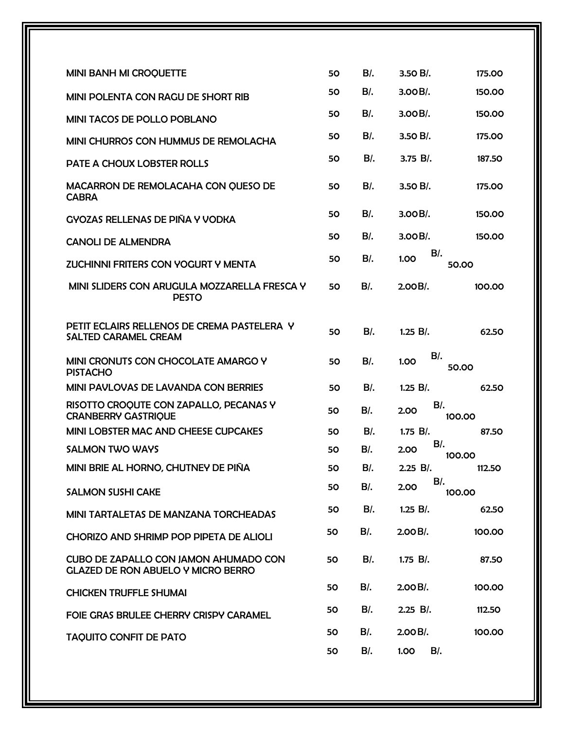| <b>MINI BANH MI CROQUETTE</b>                                                             | 50 | $B$ .  | $3.50 B/$ .              | 175.00 |
|-------------------------------------------------------------------------------------------|----|--------|--------------------------|--------|
| MINI POLENTA CON RAGU DE SHORT RIB                                                        | 50 | $B$ .  | $3.00B/$ .               | 150.00 |
| <b>MINI TACOS DE POLLO POBLANO</b>                                                        | 50 | $B$ .  | $3.00B/$ .               | 150.00 |
| MINI CHURROS CON HUMMUS DE REMOLACHA                                                      | 50 | $B$ .  | $3.50 B/$ .              | 175.00 |
| PATE A CHOUX LOBSTER ROLLS                                                                | 50 | $B$ .  | $3.75 B$ .               | 187.50 |
| MACARRON DE REMOLACAHA CON QUESO DE<br><b>CABRA</b>                                       | 50 | $B$ .  | $3.50 B/$ .              | 175.00 |
| <b>GYOZAS RELLENAS DE PIÑA Y VODKA</b>                                                    | 50 | $B$ .  | $3.00B/$ .               | 150.00 |
| <b>CANOLI DE ALMENDRA</b>                                                                 | 50 | $B$ .  | $3.00B/$ .               | 150.00 |
| <b>ZUCHINNI FRITERS CON YOGURT Y MENTA</b>                                                | 50 | $B$ .  | $B$ /.<br>1.00<br>50.00  |        |
| MINI SLIDERS CON ARUGULA MOZZARELLA FRESCA Y<br><b>PESTO</b>                              | 50 | $B$ .  | 2.00B/                   | 100.00 |
| PETIT ECLAIRS RELLENOS DE CREMA PASTELERA Y<br><b>SALTED CARAMEL CREAM</b>                | 50 | $B$ .  | $1.25 B$ .               | 62.50  |
| MINI CRONUTS CON CHOCOLATE AMARGO Y<br><b>PISTACHO</b>                                    | 50 | $B$ .  | $B$ /.<br>1.00<br>50.00  |        |
| <b>MINI PAVLOVAS DE LAVANDA CON BERRIES</b>                                               | 50 | $B$ /. | $1.25 B$ .               | 62.50  |
| RISOTTO CROQUTE CON ZAPALLO, PECANAS Y<br><b>CRANBERRY GASTRIQUE</b>                      | 50 | $B$ .  | $B$ .<br>2.00<br>100.00  |        |
| MINI LOBSTER MAC AND CHEESE CUPCAKES                                                      | 50 | $B$ .  | $1.75 B$ .               | 87.50  |
| <b>SALMON TWO WAYS</b>                                                                    | 50 | BI.    | $B$ .<br>2.00<br>100.00  |        |
| MINI BRIE AL HORNO, CHUTNEY DE PIÑA                                                       | 50 | $B$ /. | 2.25 B/.                 | 112.50 |
| <b>SALMON SUSHI CAKE</b>                                                                  | 50 | $B$ /. | $B$ /.<br>2.00<br>100.00 |        |
| MINI TARTALETAS DE MANZANA TORCHEADAS                                                     | 50 | $B$ /. | $1.25 B/$ .              | 62.50  |
| CHORIZO AND SHRIMP POP PIPETA DE ALIOLI                                                   | 50 | B/.    | $2.00 B/$ .              | 100.00 |
| <b>CUBO DE ZAPALLO CON JAMON AHUMADO CON</b><br><b>GLAZED DE RON ABUELO Y MICRO BERRO</b> | 50 | $B$ /. | $1.75 B$ .               | 87.50  |
| <b>CHICKEN TRUFFLE SHUMAI</b>                                                             | 50 | $B$ /. | $2.00 B/$ .              | 100.00 |
| FOIE GRAS BRULEE CHERRY CRISPY CARAMEL                                                    | 50 | $B$ /. | $2.25 B/$ .              | 112.50 |
| <b>TAQUITO CONFIT DE PATO</b>                                                             | 50 | $B$ .  | $2.00 B/$ .              | 100.00 |
|                                                                                           | 50 | $B$ /. | $B$ /.<br>1.00           |        |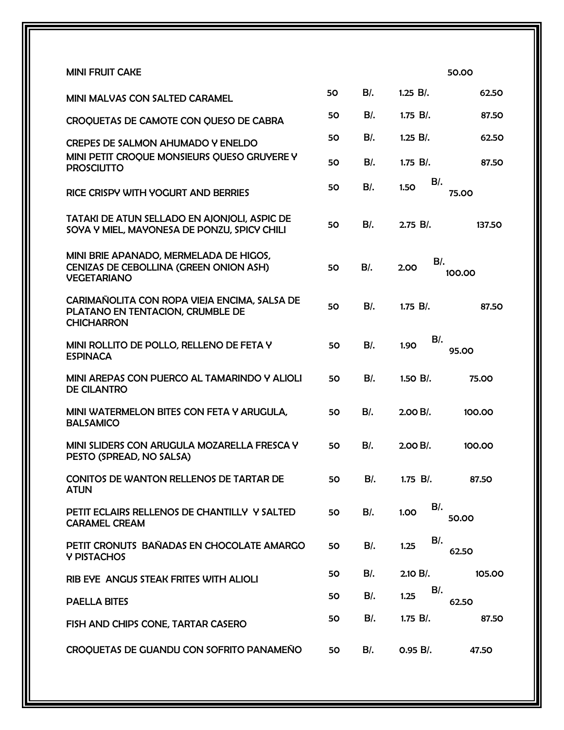| <b>MINI FRUIT CAKE</b>                                                                                 |    |        | 50.00                   |
|--------------------------------------------------------------------------------------------------------|----|--------|-------------------------|
| <b>MINI MALVAS CON SALTED CARAMEL</b>                                                                  | 50 | $B$ .  | $1.25 B$ .<br>62.50     |
| CROQUETAS DE CAMOTE CON QUESO DE CABRA                                                                 | 50 | $B$ .  | $1.75 B$ .<br>87.50     |
| CREPES DE SALMON AHUMADO Y ENELDO                                                                      | 50 | $B$ .  | $1.25 B$ .<br>62.50     |
| MINI PETIT CROQUE MONSIEURS QUESO GRUYERE Y<br><b>PROSCIUTTO</b>                                       | 50 | B/.    | $1.75 B$ .<br>87.50     |
| RICE CRISPY WITH YOGURT AND BERRIES                                                                    | 50 | $B$ .  | $B$ .<br>1.50<br>75.00  |
| TATAKI DE ATUN SELLADO EN AJONJOLI, ASPIC DE<br>SOYA Y MIEL, MAYONESA DE PONZU, SPICY CHILI            | 50 | $B$ .  | $2.75 B/$ .<br>137.50   |
| MINI BRIE APANADO, MERMELADA DE HIGOS,<br>CENIZAS DE CEBOLLINA (GREEN ONION ASH)<br><b>VEGETARIANO</b> | 50 | $B$ .  | $B$ .<br>2.00<br>100.00 |
| CARIMAÑOLITA CON ROPA VIEJA ENCIMA, SALSA DE<br>PLATANO EN TENTACION, CRUMBLE DE<br><b>CHICHARRON</b>  | 50 | $B$ .  | $1.75 B$ .<br>87.50     |
| MINI ROLLITO DE POLLO, RELLENO DE FETA Y<br><b>ESPINACA</b>                                            | 50 | $B$ .  | $B$ .<br>1.90<br>95.00  |
| MINI AREPAS CON PUERCO AL TAMARINDO Y ALIOLI<br><b>DE CILANTRO</b>                                     | 50 | $B$ .  | $1.50 B$ .<br>75.00     |
| MINI WATERMELON BITES CON FETA Y ARUGULA.<br><b>BALSAMICO</b>                                          | 50 | $B$ .  | $2.00 B/$ .<br>100.00   |
| MINI SLIDERS CON ARUGULA MOZARELLA FRESCA Y<br>PESTO (SPREAD, NO SALSA)                                | 50 | $B$ .  | $2.00 B$ .<br>100.00    |
| <b>CONITOS DE WANTON RELLENOS DE TARTAR DE</b><br><b>ATUN</b>                                          | 50 | B/L    | $1.75 B$ .<br>87.50     |
| PETIT ECLAIRS RELLENOS DE CHANTILLY Y SALTED<br><b>CARAMEL CREAM</b>                                   | 50 | $B$ /. | $B$ /.<br>1.00<br>50.00 |
| PETIT CRONUTS BAÑADAS EN CHOCOLATE AMARGO<br>Y PISTACHOS                                               | 50 | $B$ /. | $B$ /.<br>1.25<br>62.50 |
| RIB EYE ANGUS STEAK FRITES WITH ALIOLI                                                                 | 50 | $B$ /. | 2.10 B/.<br>105.00      |
| <b>PAELLA BITES</b>                                                                                    | 50 | $B$ /. | $B$ /.<br>1.25<br>62.50 |
| FISH AND CHIPS CONE, TARTAR CASERO                                                                     | 50 | $B$ .  | $1.75 B$ .<br>87.50     |
| CROQUETAS DE GUANDU CON SOFRITO PANAMEÑO                                                               | 50 | $B$ /. | 0.95 B/.<br>47.50       |